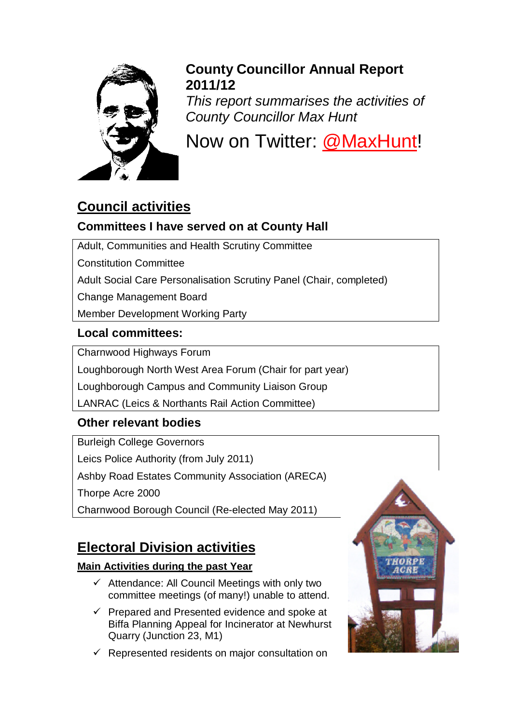

## **County Councillor Annual Report 2011/12**

*This report summarises the activities of County Councillor Max Hunt*

Now on Twitter: [@MaxHunt!](http://www.twitter.com/maxhunt)

# **Council activities**

### **Committees I have served on at County Hall**

Adult, Communities and Health Scrutiny Committee

Constitution Committee

Adult Social Care Personalisation Scrutiny Panel (Chair, completed)

Change Management Board

Member Development Working Party

### **Local committees:**

Charnwood Highways Forum

Loughborough North West Area Forum (Chair for part year)

Loughborough Campus and Community Liaison Group

LANRAC (Leics & Northants Rail Action Committee)

## **Other relevant bodies**

Burleigh College Governors Leics Police Authority (from July 2011) Ashby Road Estates Community Association (ARECA) Thorpe Acre 2000 Charnwood Borough Council (Re-elected May 2011)

## **Electoral Division activities**

### **Main Activities during the past Year**

- $\checkmark$  Attendance: All Council Meetings with only two committee meetings (of many!) unable to attend.
- $\checkmark$  Prepared and Presented evidence and spoke at Biffa Planning Appeal for Incinerator at Newhurst Quarry (Junction 23, M1)
- $\checkmark$  Represented residents on major consultation on

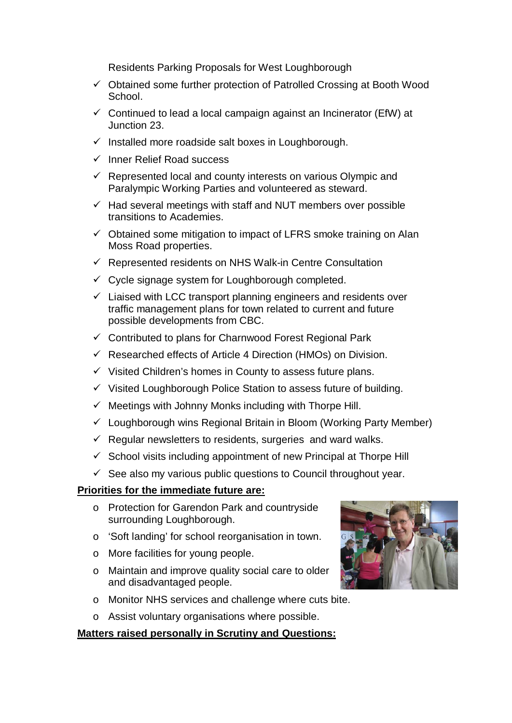Residents Parking Proposals for West Loughborough

- $\checkmark$  Obtained some further protection of Patrolled Crossing at Booth Wood School.
- $\checkmark$  Continued to lead a local campaign against an Incinerator (EfW) at Junction 23.
- $\checkmark$  Installed more roadside salt boxes in Loughborough.
- $\checkmark$  Inner Relief Road success
- $\checkmark$  Represented local and county interests on various Olympic and Paralympic Working Parties and volunteered as steward.
- $\checkmark$  Had several meetings with staff and NUT members over possible transitions to Academies.
- $\checkmark$  Obtained some mitigation to impact of LFRS smoke training on Alan Moss Road properties.
- $\checkmark$  Represented residents on NHS Walk-in Centre Consultation
- $\checkmark$  Cycle signage system for Loughborough completed.
- $\checkmark$  Liaised with LCC transport planning engineers and residents over traffic management plans for town related to current and future possible developments from CBC.
- $\checkmark$  Contributed to plans for Charnwood Forest Regional Park
- $\checkmark$  Researched effects of Article 4 Direction (HMOs) on Division.
- $\checkmark$  Visited Children's homes in County to assess future plans.
- $\checkmark$  Visited Loughborough Police Station to assess future of building.
- $\checkmark$  Meetings with Johnny Monks including with Thorpe Hill.
- $\checkmark$  Loughborough wins Regional Britain in Bloom (Working Party Member)
- $\checkmark$  Regular newsletters to residents, surgeries and ward walks.
- $\checkmark$  School visits including appointment of new Principal at Thorpe Hill
- $\checkmark$  See also my various public questions to Council throughout year.

#### **Priorities for the immediate future are:**

- o Protection for Garendon Park and countryside surrounding Loughborough.
- o 'Soft landing' for school reorganisation in town.
- o More facilities for young people.
- o Maintain and improve quality social care to older and disadvantaged people.
- o Monitor NHS services and challenge where cuts bite.
- o Assist voluntary organisations where possible.

#### **Matters raised personally in Scrutiny and Questions:**